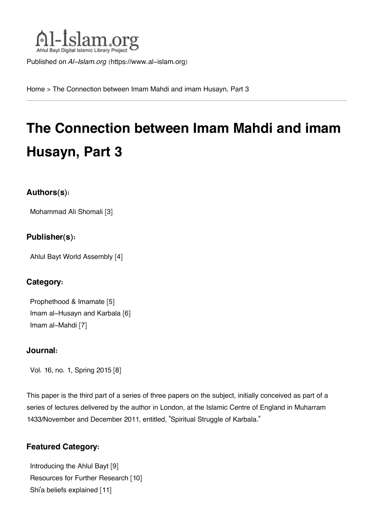

Published on *Al-Islam.org* ([https://www.al-islam.org\)](https://www.al-islam.org)

[Home](https://www.al-islam.org/) > The Connection between Imam Mahdi and imam Husayn, Part 3

# **The Connection between Imam Mahdi and imam Husayn, Part 3**

## **Authors(s):**

[Mohammad Ali Shomali](https://www.al-islam.org/person/mohammad-ali-shomali) [3]

## **Publisher(s):**

[Ahlul Bayt World Assembly](https://www.al-islam.org/organization/ahlul-bayt-world-assembly) [4]

## **Category:**

[Prophethood & Imamate](https://www.al-islam.org/library/prophethood-imamate) [5] [Imam al-Husayn and Karbala](https://www.al-islam.org/library/imam-al-husayn-and-karbala) [6] [Imam al-Mahdi](https://www.al-islam.org/library/imam-al-mahdi) [7]

## **Journal:**

[Vol. 16, no. 1, Spring 2015](https://www.al-islam.org/journals/vol-16-no-1-spring-2015) [8]

This paper is the third part of a series of three papers on the subject, initially conceived as part of a series of lectures delivered by the author in London, at the Islamic Centre of England in Muharram 1433/November and December 2011, entitled, "Spiritual Struggle of Karbala."

## **Featured Category:**

[Introducing the Ahlul Bayt](https://www.al-islam.org/feature/introducing-ahlul-bayt) [9] [Resources for Further Research](https://www.al-islam.org/feature/resources-further-research) [10] Shi['a beliefs explained](https://www.al-islam.org/feature/shia-beliefs-explained) [11]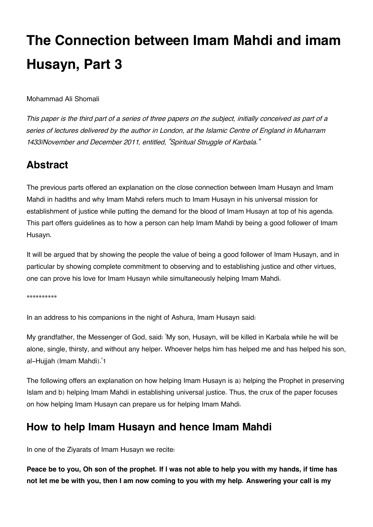# **The Connection between Imam Mahdi and imam Husayn, Part 3**

Mohammad Ali Shomali

*This paper is the third part of a series of three papers on the subject, initially conceived as part of a series of lectures delivered by the author in London, at the Islamic Centre of England in Muharram 1433/November and December 2011, entitled, "Spiritual Struggle of Karbala."*

# <span id="page-1-0"></span>**[Abstract](#page-1-0)**

The previous parts offered an explanation on the close connection between Imam Husayn and Imam Mahdi in hadiths and why Imam Mahdi refers much to Imam Husayn in his universal mission for establishment of justice while putting the demand for the blood of Imam Husayn at top of his agenda. This part offers guidelines as to how a person can help Imam Mahdi by being a good follower of Imam Husayn.

It will be argued that by showing the people the value of being a good follower of Imam Husayn, and in particular by showing complete commitment to observing and to establishing justice and other virtues, one can prove his love for Imam Husayn while simultaneously helping Imam Mahdi.

\*\*\*\*\*\*\*\*\*\*

In an address to his companions in the night of Ashura, Imam Husayn said:

<span id="page-1-2"></span>My grandfather, the Messenger of God, said: 'My son, Husayn, will be killed in Karbala while he will be alone, single, thirsty, and without any helper. Whoever helps him has helped me and has helped his son, al-Hujjah (Imam Mahdi).'[1](#page-6-0)

The following offers an explanation on how helping Imam Husayn is a) helping the Prophet in preserving Islam and b) helping Imam Mahdi in establishing universal justice. Thus, the crux of the paper focuses on how helping Imam Husayn can prepare us for helping Imam Mahdi.

# <span id="page-1-1"></span>**[How to help Imam Husayn and hence Imam Mahdi](#page-1-1)**

In one of the Ziyarats of Imam Husayn we recite:

**Peace be to you, Oh son of the prophet. If I was not able to help you with my hands, if time has not let me be with you, then I am now coming to you with my help. Answering your call is my**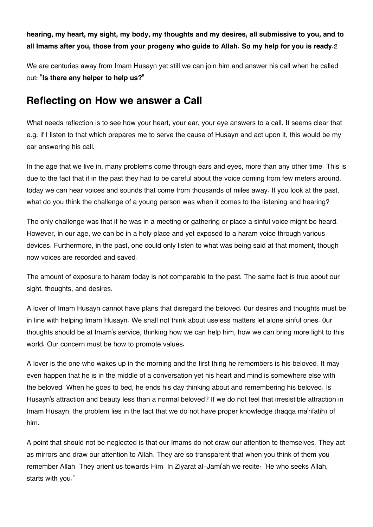<span id="page-2-1"></span>**hearing, my heart, my sight, my body, my thoughts and my desires, all submissive to you, and to all Imams after you, those from your progeny who guide to Allah. So my help for you is ready**.[2](#page-6-1)

We are centuries away from Imam Husayn yet still we can join him and answer his call when he called out: **"Is there any helper to help us?"**

# <span id="page-2-0"></span>**[Reflecting on How we answer a Call](#page-2-0)**

What needs reflection is to see how your heart, your ear, your eye answers to a call. It seems clear that e.g. if I listen to that which prepares me to serve the cause of Husayn and act upon it, this would be my ear answering his call.

In the age that we live in, many problems come through ears and eyes, more than any other time. This is due to the fact that if in the past they had to be careful about the voice coming from few meters around, today we can hear voices and sounds that come from thousands of miles away. If you look at the past, what do you think the challenge of a young person was when it comes to the listening and hearing?

The only challenge was that if he was in a meeting or gathering or place a sinful voice might be heard. However, in our age, we can be in a holy place and yet exposed to a haram voice through various devices. Furthermore, in the past, one could only listen to what was being said at that moment, though now voices are recorded and saved.

The amount of exposure to haram today is not comparable to the past. The same fact is true about our sight, thoughts, and desires.

A lover of Imam Husayn cannot have plans that disregard the beloved. 0ur desires and thoughts must be in line with helping Imam Husayn. We shall not think about useless matters let alone sinful ones. 0ur thoughts should be at Imam's service, thinking how we can help him, how we can bring more light to this world. Our concern must be how to promote values.

A lover is the one who wakes up in the morning and the first thing he remembers is his beloved. It may even happen that he is in the middle of a conversation yet his heart and mind is somewhere else with the beloved. When he goes to bed, he ends his day thinking about and remembering his beloved. Is Husayn's attraction and beauty less than a normal beloved? If we do not feel that irresistible attraction in Imam Husayn, the problem lies in the fact that we do not have proper knowledge (haqqa ma'rifatih) of him.

A point that should not be neglected is that our Imams do not draw our attention to themselves. They act as mirrors and draw our attention to Allah. They are so transparent that when you think of them you remember Allah. They orient us towards Him. In Ziyarat al-Jami'ah we recite: "He who seeks Allah, starts with you."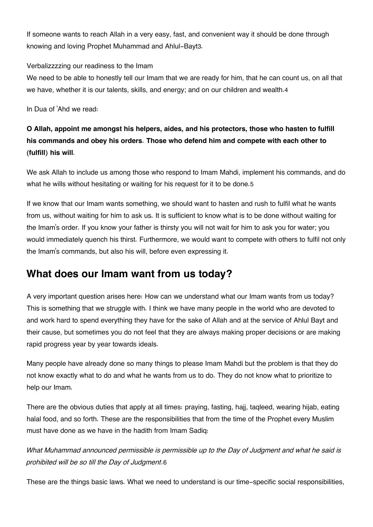<span id="page-3-1"></span>If someone wants to reach Allah in a very easy, fast, and convenient way it should be done through knowing and loving Prophet Muhammad and Ahlul-Bayt[3](#page-6-2).

### Verbalizzzzing our readiness to the Imam

<span id="page-3-2"></span>We need to be able to honestly tell our Imam that we are ready for him, that he can count us, on all that we have, whether it is our talents, skills, and energy; and on our children and wealth.[4](#page-6-3)

In Dua of 'Ahd we read:

## **O Allah, appoint me amongst his helpers, aides, and his protectors, those who hasten to fulfill his commands and obey his orders. Those who defend him and compete with each other to (fulfill) his will**.

<span id="page-3-3"></span>We ask Allah to include us among those who respond to Imam Mahdi, implement his commands, and do what he wills without hesitating or waiting for his request for it to be done.[5](#page-7-0)

If we know that our Imam wants something, we should want to hasten and rush to fulfil what he wants from us, without waiting for him to ask us. It is sufficient to know what is to be done without waiting for the Imam's order. If you know your father is thirsty you will not wait for him to ask you for water; you would immediately quench his thirst. Furthermore, we would want to compete with others to fulfil not only the Imam's commands, but also his will, before even expressing it.

# <span id="page-3-0"></span>**[What does our Imam want from us today?](#page-3-0)**

A very important question arises here: How can we understand what our Imam wants from us today? This is something that we struggle with. I think we have many people in the world who are devoted to and work hard to spend everything they have for the sake of Allah and at the service of Ahlul Bayt and their cause, but sometimes you do not feel that they are always making proper decisions or are making rapid progress year by year towards ideals.

Many people have already done so many things to please Imam Mahdi but the problem is that they do not know exactly what to do and what he wants from us to do. They do not know what to prioritize to help our Imam.

There are the obvious duties that apply at all times: praying, fasting, hajj, taqleed, wearing hijab, eating halal food, and so forth. These are the responsibilities that from the time of the Prophet every Muslim must have done as we have in the hadith from Imam Sadiq:

<span id="page-3-4"></span>*What Muhammad announced permissible is permissible up to the Day of Judgment and what he said is prohibited will be so till the Day of Judgment*.[6](#page-7-1)

These are the things basic laws. What we need to understand is our time-specific social responsibilities,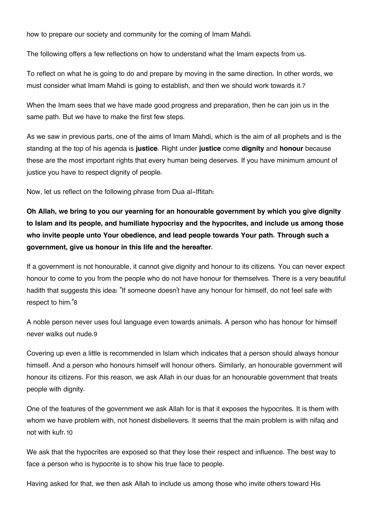how to prepare our society and community for the coming of Imam Mahdi.

The following offers a few reflections on how to understand what the Imam expects from us.

<span id="page-4-0"></span>To reflect on what he is going to do and prepare by moving in the same direction. In other words, we must consider what Imam Mahdi is going to establish, and then we should work towards it.[7](#page-7-2)

When the Imam sees that we have made good progress and preparation, then he can join us in the same path. But we have to make the first few steps.

As we saw in previous parts, one of the aims of Imam Mahdi, which is the aim of all prophets and is the standing at the top of his agenda is **justice.** Right under **justice** come **dignity** and **honour** because these are the most important rights that every human being deserves. If you have minimum amount of justice you have to respect dignity of people.

Now, let us reflect on the following phrase from Dua al-Iftitah:

**Oh Allah, we bring to you our yearning for an honourable government by which you give dignity to Islam and its people, and humiliate hypocrisy and the hypocrites, and include us among those who invite people unto Your obedience, and lead people towards Your path. Through such a government, give us honour in this life and the hereafter.**

If a government is not honourable, it cannot give dignity and honour to its citizens. You can never expect honour to come to you from the people who do not have honour for themselves. There is a very beautiful hadith that suggests this idea: "If someone doesn't have any honour for himself, do not feel safe with respect to him."[8](#page-7-3)

<span id="page-4-2"></span><span id="page-4-1"></span>A noble person never uses foul language even towards animals. A person who has honour for himself never walks out nude.[9](#page-7-4)

Covering up even a little is recommended in Islam which indicates that a person should always honour himself. And a person who honours himself will honour others. Similarly, an honourable government will honour its citizens. For this reason, we ask Allah in our duas for an honourable government that treats people with dignity.

<span id="page-4-3"></span>One of the features of the government we ask Allah for is that it exposes the hypocrites. It is them with whom we have problem with, not honest disbelievers. It seems that the main problem is with nifaq and not with kufr.[10](#page-7-5)

We ask that the hypocrites are exposed so that they lose their respect and influence. The best way to face a person who is hypocrite is to show his true face to people.

Having asked for that, we then ask Allah to include us among those who invite others toward His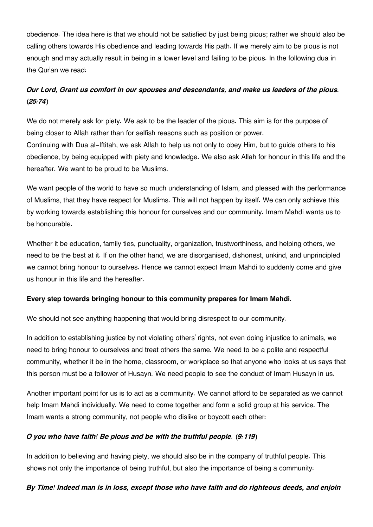obedience. The idea here is that we should not be satisfied by just being pious; rather we should also be calling others towards His obedience and leading towards His path. If we merely aim to be pious is not enough and may actually result in being in a lower level and failing to be pious. In the following dua in the Qur'an we read:

## *Our Lord, Grant us comfort in our spouses and descendants, and make us leaders of the pious. (25:74)*

We do not merely ask for piety. We ask to be the leader of the pious. This aim is for the purpose of being closer to Allah rather than for selfish reasons such as position or power. Continuing with Dua al-Iftitah, we ask Allah to help us not only to obey Him, but to guide others to his obedience, by being equipped with piety and knowledge. We also ask Allah for honour in this life and the hereafter. We want to be proud to be Muslims.

We want people of the world to have so much understanding of Islam, and pleased with the performance of Muslims, that they have respect for Muslims. This will not happen by itself. We can only achieve this by working towards establishing this honour for ourselves and our community. Imam Mahdi wants us to be honourable.

Whether it be education, family ties, punctuality, organization, trustworthiness, and helping others, we need to be the best at it. If on the other hand, we are disorganised, dishonest, unkind, and unprincipled we cannot bring honour to ourselves. Hence we cannot expect Imam Mahdi to suddenly come and give us honour in this life and the hereafter.

## **Every step towards bringing honour to this community prepares for Imam Mahdi.**

We should not see anything happening that would bring disrespect to our community.

In addition to establishing justice by not violating others' rights, not even doing injustice to animals, we need to bring honour to ourselves and treat others the same. We need to be a polite and respectful community, whether it be in the home, classroom, or workplace so that anyone who looks at us says that this person must be a follower of Husayn. We need people to see the conduct of Imam Husayn in us.

Another important point for us is to act as a community. We cannot afford to be separated as we cannot help Imam Mahdi individually. We need to come together and form a solid group at his service. The Imam wants a strong community, not people who dislike or boycott each other:

### *O you who have faith! Be pious and be with the truthful people. (9:119)*

In addition to believing and having piety, we should also be in the company of truthful people. This shows not only the importance of being truthful, but also the importance of being a community:

### *By Time! Indeed man is in loss, except those who have faith and do righteous deeds, and enjoin*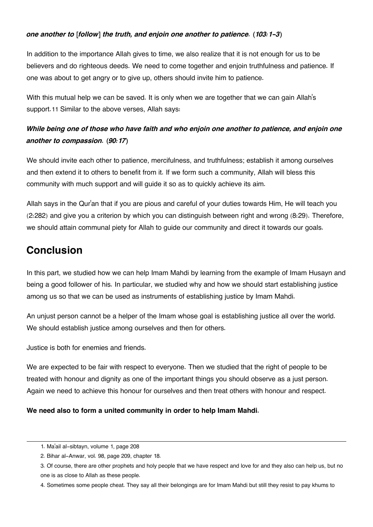#### *one another to [follow] the truth, and enjoin one another to patience. (103:1-3)*

In addition to the importance Allah gives to time, we also realize that it is not enough for us to be believers and do righteous deeds. We need to come together and enjoin truthfulness and patience. If one was about to get angry or to give up, others should invite him to patience.

<span id="page-6-5"></span>With this mutual help we can be saved. It is only when we are together that we can gain Allah's support.[11](#page-7-6) Similar to the above verses, Allah says:

## *While being one of those who have faith and who enjoin one another to patience, and enjoin one another to compassion. (90:17)*

We should invite each other to patience, mercifulness, and truthfulness; establish it among ourselves and then extend it to others to benefit from it. If we form such a community, Allah will bless this community with much support and will guide it so as to quickly achieve its aim.

Allah says in the Qur'an that if you are pious and careful of your duties towards Him, He will teach you (2:282) and give you a criterion by which you can distinguish between right and wrong (8:29). Therefore, we should attain communal piety for Allah to guide our community and direct it towards our goals.

# <span id="page-6-4"></span>**[Conclusion](#page-6-4)**

In this part, we studied how we can help Imam Mahdi by learning from the example of Imam Husayn and being a good follower of his. In particular, we studied why and how we should start establishing justice among us so that we can be used as instruments of establishing justice by Imam Mahdi.

An unjust person cannot be a helper of the Imam whose goal is establishing justice all over the world. We should establish justice among ourselves and then for others.

Justice is both for enemies and friends.

We are expected to be fair with respect to everyone. Then we studied that the right of people to be treated with honour and dignity as one of the important things you should observe as a just person. Again we need to achieve this honour for ourselves and then treat others with honour and respect.

### **We need also to form a united community in order to help Imam Mahdi.**

<span id="page-6-0"></span>[<sup>1.</sup>](#page-1-2) Ma'ail al-sibtayn, volume 1, page 208

<span id="page-6-1"></span>[<sup>2.</sup>](#page-2-1) Bihar al-Anwar, vol. 98, page 209, chapter 18.

<span id="page-6-2"></span>[<sup>3.</sup>](#page-3-1) Of course, there are other prophets and holy people that we have respect and love for and they also can help us, but no one is as close to Allah as these people.

<span id="page-6-3"></span>[<sup>4.</sup>](#page-3-2) Sometimes some people cheat. They say all their belongings are for Imam Mahdi but still they resist to pay khums to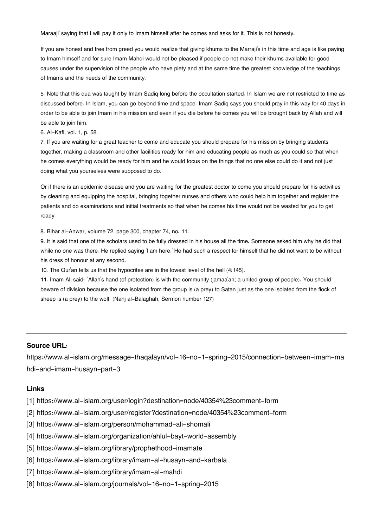Maraaji' saying that I will pay it only to Imam himself after he comes and asks for it. This is not honesty.

If you are honest and free from greed you would realize that giving khums to the Marraji's in this time and age is like paying to Imam himself and for sure Imam Mahdi would not be pleased if people do not make their khums available for good causes under the supervision of the people who have piety and at the same time the greatest knowledge of the teachings of Imams and the needs of the community.

<span id="page-7-0"></span>[5.](#page-3-3) Note that this dua was taught by Imam Sadiq long before the occultation started. In Islam we are not restricted to time as discussed before. In Islam, you can go beyond time and space. Imam Sadiq says you should pray in this way for 40 days in order to be able to join Imam in his mission and even if you die before he comes you will be brought back by Allah and will be able to join him.

<span id="page-7-1"></span>[6.](#page-3-4) Al-Kafi, vol. 1, p. 58.

<span id="page-7-2"></span>[7.](#page-4-0) If you are waiting for a great teacher to come and educate you should prepare for his mission by bringing students together, making a classroom and other facilities ready for him and educating people as much as you could so that when he comes everything would be ready for him and he would focus on the things that no one else could do it and not just doing what you yourselves were supposed to do.

Or if there is an epidemic disease and you are waiting for the greatest doctor to come you should prepare for his activities by cleaning and equipping the hospital, bringing together nurses and others who could help him together and register the patients and do examinations and initial treatments so that when he comes his time would not be wasted for you to get ready.

<span id="page-7-3"></span>[8.](#page-4-1) Bihar al-Anwar, volume 72, page 300, chapter 74, no. 11.

<span id="page-7-4"></span>[9.](#page-4-2) It is said that one of the scholars used to be fully dressed in his house all the time. Someone asked him why he did that while no one was there. He replied saying 'I am here.' He had such a respect for himself that he did not want to be without his dress of honour at any second.

<span id="page-7-5"></span>[10.](#page-4-3) The Qur'an tells us that the hypocrites are in the lowest level of the hell (4:145).

<span id="page-7-6"></span>[11.](#page-6-5) Imam Ali said: "Allah's hand (of protection) is with the community (jamaa'ah; a united group of people). You should beware of division because the one isolated from the group is (a prey) to Satan just as the one isolated from the flock of sheep is (a prey) to the wolf. (Nahj al-Balaghah, Sermon number 127)

#### **Source URL:**

https://www.al-islam.org/message-thaqalayn/vol-16-no-1-spring-2015/connection-between-imam-ma hdi-and-imam-husayn-part-3

#### **Links**

- [1] https://www.al-islam.org/user/login?destination=node/40354%23comment-form
- [2] https://www.al-islam.org/user/register?destination=node/40354%23comment-form
- [3] https://www.al-islam.org/person/mohammad-ali-shomali
- [4] https://www.al-islam.org/organization/ahlul-bayt-world-assembly
- [5] https://www.al-islam.org/library/prophethood-imamate
- [6] https://www.al-islam.org/library/imam-al-husayn-and-karbala
- [7] https://www.al-islam.org/library/imam-al-mahdi
- [8] https://www.al-islam.org/journals/vol-16-no-1-spring-2015